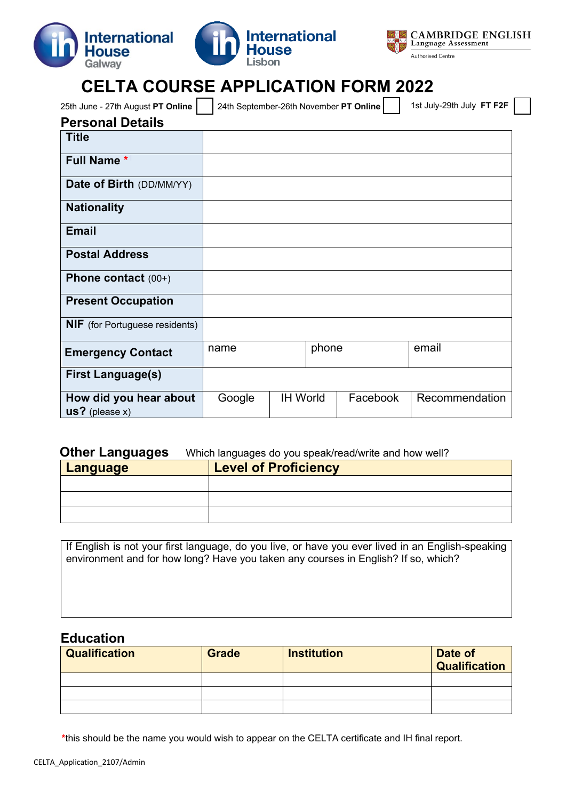





## **CELTA COURSE APPLICATION FORM 2022**

| 25th June - 27th August PT Online<br>24th September-26th November PT Online<br><b>Title</b><br><b>Full Name*</b><br><b>Date of Birth (DD/MM/YY)</b><br><b>Nationality</b><br><b>Email</b><br><b>Postal Address</b><br>Phone contact $(00+)$<br><b>Present Occupation</b><br><b>NIF</b> (for Portuguese residents)<br>email<br>name |                          |  |  |       |  |                           |
|------------------------------------------------------------------------------------------------------------------------------------------------------------------------------------------------------------------------------------------------------------------------------------------------------------------------------------|--------------------------|--|--|-------|--|---------------------------|
| <b>Personal Details</b>                                                                                                                                                                                                                                                                                                            |                          |  |  |       |  | 1st July-29th July FT F2F |
|                                                                                                                                                                                                                                                                                                                                    |                          |  |  |       |  |                           |
|                                                                                                                                                                                                                                                                                                                                    |                          |  |  |       |  |                           |
|                                                                                                                                                                                                                                                                                                                                    |                          |  |  |       |  |                           |
|                                                                                                                                                                                                                                                                                                                                    |                          |  |  |       |  |                           |
|                                                                                                                                                                                                                                                                                                                                    |                          |  |  |       |  |                           |
|                                                                                                                                                                                                                                                                                                                                    |                          |  |  |       |  |                           |
|                                                                                                                                                                                                                                                                                                                                    |                          |  |  |       |  |                           |
|                                                                                                                                                                                                                                                                                                                                    |                          |  |  |       |  |                           |
|                                                                                                                                                                                                                                                                                                                                    |                          |  |  |       |  |                           |
|                                                                                                                                                                                                                                                                                                                                    |                          |  |  |       |  |                           |
|                                                                                                                                                                                                                                                                                                                                    | <b>Emergency Contact</b> |  |  | phone |  |                           |
| <b>First Language(s)</b>                                                                                                                                                                                                                                                                                                           |                          |  |  |       |  |                           |
| <b>IH World</b><br>Facebook<br>How did you hear about<br>Google<br>$us?$ (please x)                                                                                                                                                                                                                                                |                          |  |  |       |  | Recommendation            |

#### **Other Languages** Which languages do you speak/read/write and how well?

| <b>Language</b> | <b>Level of Proficiency</b> |  |  |
|-----------------|-----------------------------|--|--|
|                 |                             |  |  |
|                 |                             |  |  |
|                 |                             |  |  |

If English is not your first language, do you live, or have you ever lived in an English-speaking environment and for how long? Have you taken any courses in English? If so, which?

#### **Education**

| <b>Qualification</b> | <b>Grade</b> | <b>Institution</b> | Date of<br><b>Qualification</b> |
|----------------------|--------------|--------------------|---------------------------------|
|                      |              |                    |                                 |
|                      |              |                    |                                 |
|                      |              |                    |                                 |

<span id="page-0-0"></span>**\***this should be the name you would wish to appear on the CELTA certificate and IH final report.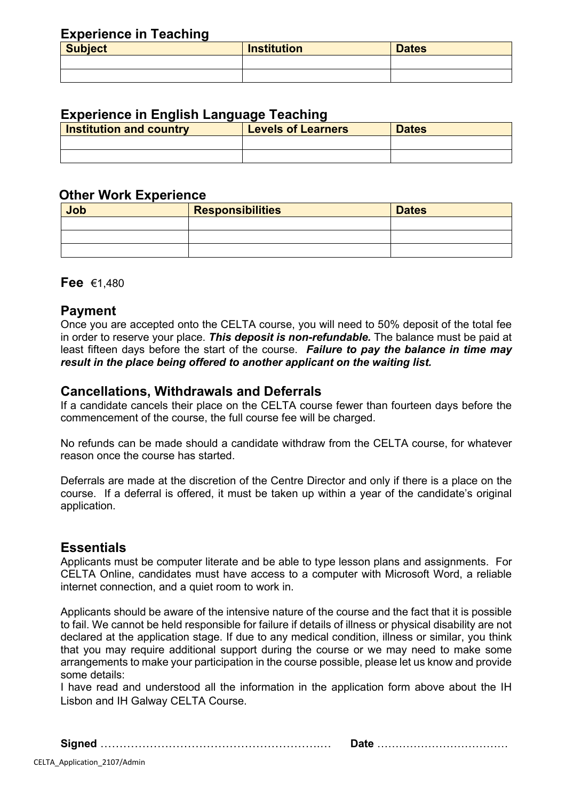#### **Experience in Teaching**

| <b>Subject</b> | <b>Institution</b> | <b>Dates</b> |  |  |  |  |
|----------------|--------------------|--------------|--|--|--|--|
|                |                    |              |  |  |  |  |
|                |                    |              |  |  |  |  |

## **Experience in English Language Teaching**

| <b>Institution and country</b> | <b>Levels of Learners</b> | <b>Dates</b> |
|--------------------------------|---------------------------|--------------|
|                                |                           |              |
|                                |                           |              |

#### **Other Work Experience**

| Job | <b>Responsibilities</b> | <b>Dates</b> |
|-----|-------------------------|--------------|
|     |                         |              |
|     |                         |              |
|     |                         |              |

**Fee** €1,480

## **Payment**

Once you are accepted onto the CELTA course, you will need to 50% deposit of the total fee in order to reserve your place. *This deposit is non-refundable.* The balance must be paid at least fifteen days before the start of the course. *Failure to pay the balance in time may result in the place being offered to another applicant on the waiting list.*

## **Cancellations, Withdrawals and Deferrals**

If a candidate cancels their place on the CELTA course fewer than fourteen days before the commencement of the course, the full course fee will be charged.

No refunds can be made should a candidate withdraw from the CELTA course, for whatever reason once the course has started.

Deferrals are made at the discretion of the Centre Director and only if there is a place on the course. If a deferral is offered, it must be taken up within a year of the candidate's original application.

## **Essentials**

Applicants must be computer literate and be able to type lesson plans and assignments. For CELTA Online, candidates must have access to a computer with Microsoft Word, a reliable internet connection, and a quiet room to work in.

Applicants should be aware of the intensive nature of the course and the fact that it is possible to fail. We cannot be held responsible for failure if details of illness or physical disability are not declared at the application stage. If due to any medical condition, illness or similar, you think that you may require additional support during the course or we may need to make some arrangements to make your participation in the course possible, please let us know and provide some details:

I have read and understood all the information in the application form above about the IH Lisbon and IH Galway CELTA Course.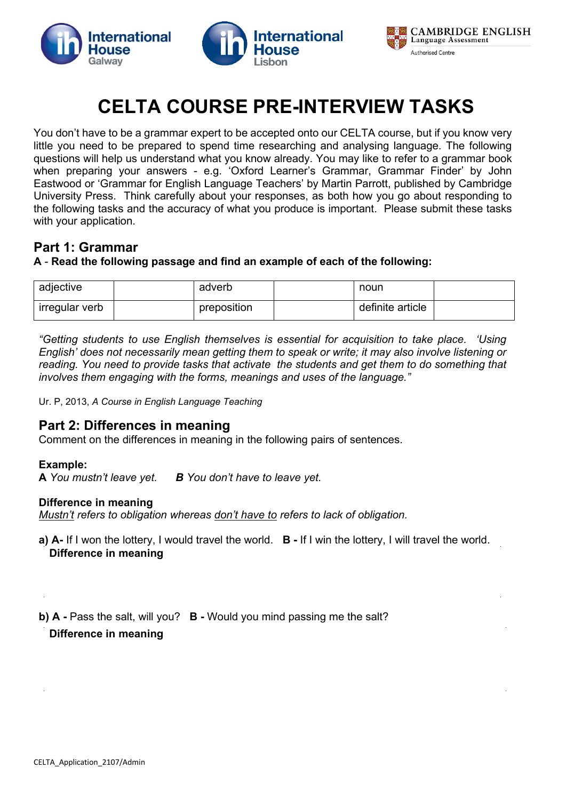





# **CELTA COURSE PRE-INTERVIEW TASKS**

You don't have to be a grammar expert to be accepted onto our CELTA course, but if you know very little you need to be prepared to spend time researching and analysing language. The following questions will help us understand what you know already. You may like to refer to a grammar book when preparing your answers - e.g. 'Oxford Learner's Grammar, Grammar Finder' by John Eastwood or 'Grammar for English Language Teachers' by Martin Parrott, published by Cambridge University Press. Think carefully about your responses, as both how you go about responding to the following tasks and the accuracy of what you produce is important. Please submit these tasks with your application.

## **Part 1: Grammar**

#### **A** - **Read the following passage and find an example of each of the following:**

| adjective      | adverb      | noun             |  |
|----------------|-------------|------------------|--|
| irregular verb | preposition | definite article |  |

*"Getting students to use English themselves is essential for acquisition to take place. 'Using English' does not necessarily mean getting them to speak or write; it may also involve listening or reading. You need to provide tasks that activate the students and get them to do something that involves them engaging with the forms, meanings and uses of the language."*

Ur. P, 2013, *A Course in English Language Teaching*

## **Part 2: Differences in meaning**

Comment on the differences in meaning in the following pairs of sentences.

#### **Example:**

**A** *You mustn't leave yet. B You don't have to leave yet.* 

#### **Difference in meaning**

*Mustn't refers to obligation whereas don't have to refers to lack of obligation.*

**a) A-** If I won the lottery, I would travel the world. **B -** If I win the lottery, I will travel the world. **Difference in meaning**

**b) A** - Pass the salt, will you? **B** - Would you mind passing me the salt?

**Difference in meaning**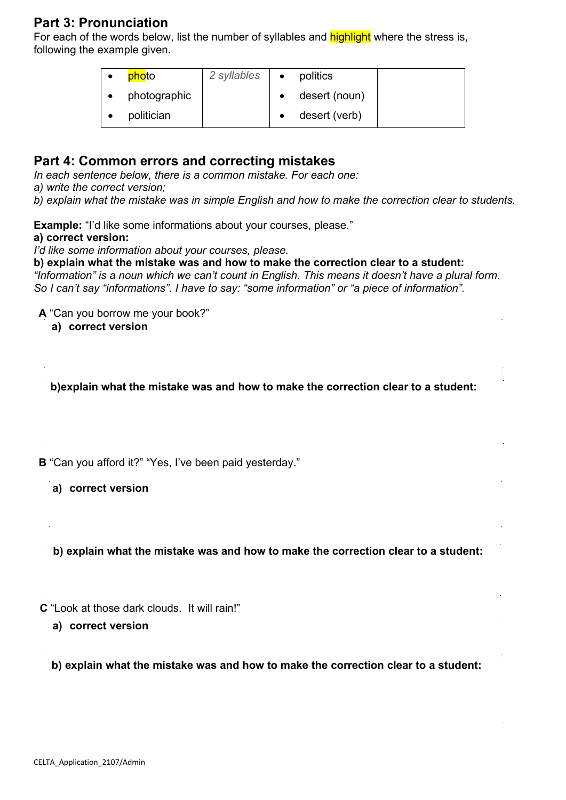## **Part 3: Pronunciation**

For each of the words below, list the number of syllables and **highlight** where the stress is, following the example given.

| photo        | 2 syllables | $\bullet$ | politics      |  |
|--------------|-------------|-----------|---------------|--|
| photographic |             |           | desert (noun) |  |
| politician   |             |           | desert (verb) |  |

#### **Part 4: Common errors and correcting mistakes**

*In each sentence below, there is a common mistake. For each one:* 

*a) write the correct version;*

*b) explain what the mistake was in simple English and how to make the correction clear to students.*

**Example:** "I'd like some informations about your courses, please."

#### **a) correct version:**

*I'd like some information about your courses, please.*

**b) explain what the mistake was and how to make the correction clear to a student:**

*"Information" is a noun which we can't count in English. This means it doesn't have a plural form. So I can't say "informations". I have to say: "some information" or "a piece of information".*

**A** "Can you borrow me your book?"

**a) correct version**

**b)explain what the mistake was and how to make the correction clear to a student:**

**B** "Can you afford it?" "Yes, I've been paid yesterday."

**a) correct version**

**b) explain what the mistake was and how to make the correction clear to a student:**

**C** "Look at those dark clouds. It will rain!"

**a) correct version**

**b) explain what the mistake was and how to make the correction clear to a student:**